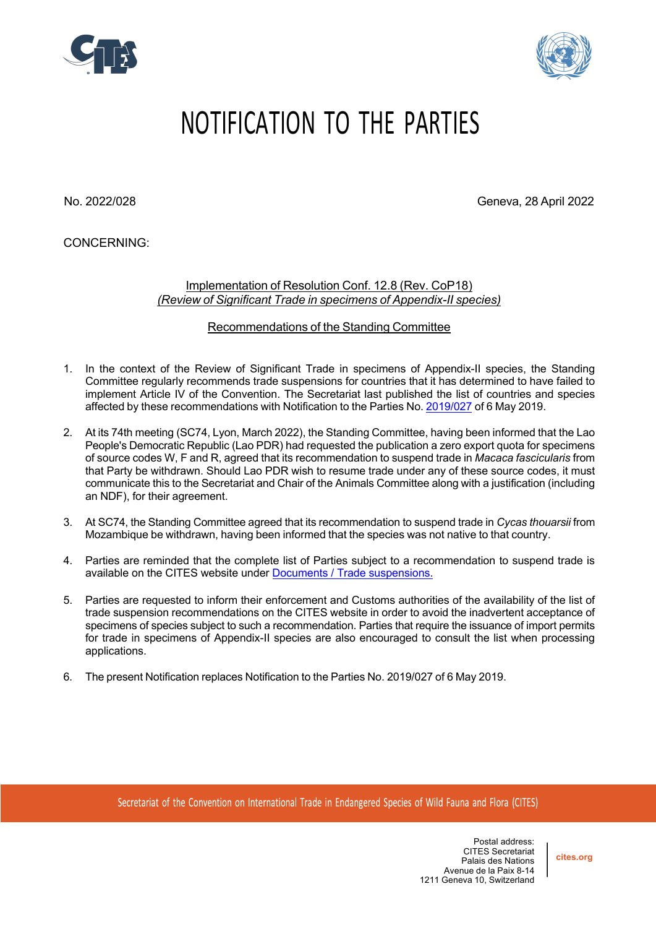



## NOTIFICATION TO THE PARTIES

No. 2022/028 Geneva, 28 April 2022

CONCERNING:

Implementation of Resolution Conf. 12.8 (Rev. CoP18) *(Review of Significant Trade in specimens of Appendix-II species)*

Recommendations of the Standing Committee

- 1. In the context of the Review of Significant Trade in specimens of Appendix-II species, the Standing Committee regularly recommends trade suspensions for countries that it has determined to have failed to implement Article IV of the Convention. The Secretariat last published the list of countries and species affected by these recommendations with Notification to the Parties No. 2019/027 of 6 May 2019.
- 2. At its 74th meeting (SC74, Lyon, March 2022), the Standing Committee, having been informed that the Lao People's Democratic Republic (Lao PDR) had requested the publication a zero export quota for specimens of source codes W, F and R, agreed that its recommendation to suspend trade in *Macaca fascicularis* from that Party be withdrawn. Should Lao PDR wish to resume trade under any of these source codes, it must communicate this to the Secretariat and Chair of the Animals Committee along with a justification (including an NDF), for their agreement.
- 3. At SC74, the Standing Committee agreed that its recommendation to suspend trade in *Cycas thouarsii* from Mozambique be withdrawn, having been informed that the species was not native to that country.
- 4. Parties are reminded that the complete list of Parties subject to a recommendation to suspend trade is available on the CITES website under Documents / Trade suspensions.
- 5. Parties are requested to inform their enforcement and Customs authorities of the availability of the list of trade suspension recommendations on the CITES website in order to avoid the inadvertent acceptance of specimens of species subject to such a recommendation. Parties that require the issuance of import permits for trade in specimens of Appendix-II species are also encouraged to consult the list when processing applications.
- 6. The present Notification replaces Notification to the Parties No. 2019/027 of 6 May 2019.

Secretariat of the Convention on International Trade in Endangered Species of Wild Fauna and Flora (CITES)

Postal address: CITES Secretariat Palais des Nations Avenue de la Paix 8-14 1211 Geneva 10, Switzerland

**cites.org**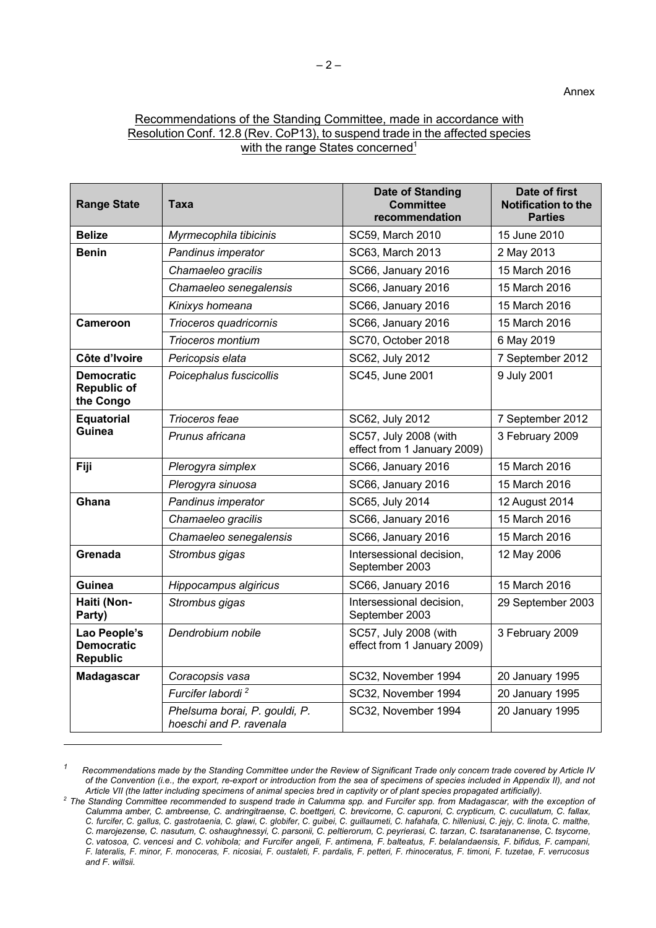## Recommendations of the Standing Committee, made in accordance with Resolution Conf. 12.8 (Rev. CoP13), to suspend trade in the affected species with the range States concerned<sup>1</sup>

| <b>Range State</b>                                   | Taxa                                                     | <b>Date of Standing</b><br><b>Committee</b><br>recommendation | Date of first<br><b>Notification to the</b><br><b>Parties</b> |
|------------------------------------------------------|----------------------------------------------------------|---------------------------------------------------------------|---------------------------------------------------------------|
| <b>Belize</b>                                        | Myrmecophila tibicinis                                   | SC59, March 2010                                              | 15 June 2010                                                  |
| <b>Benin</b>                                         | Pandinus imperator                                       | SC63, March 2013                                              | 2 May 2013                                                    |
|                                                      | Chamaeleo gracilis                                       | SC66, January 2016                                            | 15 March 2016                                                 |
|                                                      | Chamaeleo senegalensis                                   | <b>SC66, January 2016</b>                                     | 15 March 2016                                                 |
|                                                      | Kinixys homeana                                          | <b>SC66, January 2016</b>                                     | 15 March 2016                                                 |
| <b>Cameroon</b>                                      | Trioceros quadricornis                                   | SC66, January 2016                                            | 15 March 2016                                                 |
|                                                      | Trioceros montium                                        | SC70, October 2018                                            | 6 May 2019                                                    |
| Côte d'Ivoire                                        | Pericopsis elata                                         | SC62, July 2012                                               | 7 September 2012                                              |
| <b>Democratic</b><br><b>Republic of</b><br>the Congo | Poicephalus fuscicollis                                  | SC45, June 2001                                               | 9 July 2001                                                   |
| <b>Equatorial</b><br>Guinea                          | Trioceros feae                                           | SC62, July 2012                                               | 7 September 2012                                              |
|                                                      | Prunus africana                                          | SC57, July 2008 (with<br>effect from 1 January 2009)          | 3 February 2009                                               |
| Fiji                                                 | Plerogyra simplex                                        | SC66, January 2016                                            | 15 March 2016                                                 |
|                                                      | Plerogyra sinuosa                                        | SC66, January 2016                                            | 15 March 2016                                                 |
| Ghana                                                | Pandinus imperator                                       | SC65, July 2014                                               | 12 August 2014                                                |
|                                                      | Chamaeleo gracilis                                       | SC66, January 2016                                            | 15 March 2016                                                 |
|                                                      | Chamaeleo senegalensis                                   | SC66, January 2016                                            | 15 March 2016                                                 |
| Grenada                                              | Strombus gigas                                           | Intersessional decision,<br>September 2003                    | 12 May 2006                                                   |
| Guinea                                               | Hippocampus algiricus                                    | SC66, January 2016                                            | 15 March 2016                                                 |
| Haiti (Non-<br>Party)                                | Strombus gigas                                           | Intersessional decision,<br>September 2003                    | 29 September 2003                                             |
| Lao People's<br><b>Democratic</b><br><b>Republic</b> | Dendrobium nobile                                        | SC57, July 2008 (with<br>effect from 1 January 2009)          | 3 February 2009                                               |
| <b>Madagascar</b>                                    | Coracopsis vasa                                          | SC32, November 1994                                           | 20 January 1995                                               |
|                                                      | Furcifer labordi <sup>2</sup>                            | SC32, November 1994                                           | 20 January 1995                                               |
|                                                      | Phelsuma borai, P. gouldi, P.<br>hoeschi and P. ravenala | SC32, November 1994                                           | 20 January 1995                                               |

<sup>&</sup>lt;sup>1</sup> Recommendations made by the Standing Committee under the Review of Significant Trade only concern trade covered by Article IV *of the Convention (i.e., the export, re-export or introduction from the sea of specimens of species included in Appendix II), and not* Article VII (the latter including specimens of animal species bred in captivity or of plant species propagated artificially).

<sup>&</sup>lt;sup>2</sup> The Standing Committee recommended to suspend trade in Calumma spp. and Furcifer spp. from Madagascar, with the exception of Calumma amber, C. ambreense, C. andringitraense, C. boettgeri, C. brevicorne, C. capuroni, C. crypticum, C. cucullatum, C. fallax, C. furcifer, C. gallus, C. gastrotaenia, C. glawi, C. globifer, C. guibei, C. guillaumeti, C. hafahafa, C. hilleniusi, C. jejy, C. linota, C. malthe, C. marojezense, C. nasutum, C. oshaughnessyi, C. parsonii, C. peltierorum, C. peyrierasi, C. tarzan, C. tsaratananense, C. tsycorne, C. vatosoa, C. vencesi and C. vohibola; and Furcifer angeli, F. antimena, F. balteatus, F. belalandaensis, F. bifidus, F. campani, F. lateralis, F. minor, F. monoceras, F. nicosiai, F. oustaleti, F. pardalis, F. petteri, F. rhinoceratus, F. timoni, F. tuzetae, F. verrucosus *and F. willsii.*